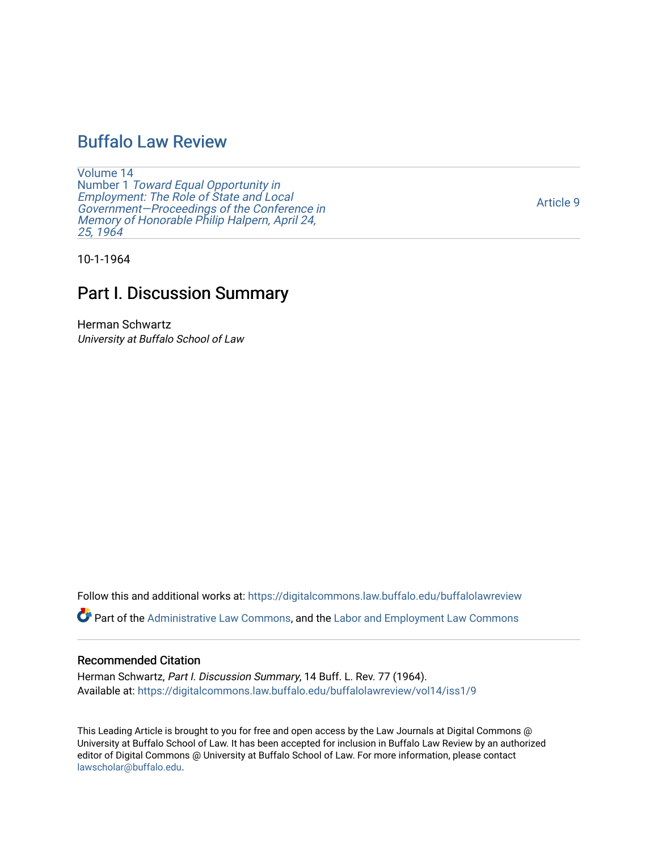## [Buffalo Law Review](https://digitalcommons.law.buffalo.edu/buffalolawreview)

[Volume 14](https://digitalcommons.law.buffalo.edu/buffalolawreview/vol14) Number 1 [Toward Equal Opportunity in](https://digitalcommons.law.buffalo.edu/buffalolawreview/vol14/iss1)  [Employment: The Role of State and Local](https://digitalcommons.law.buffalo.edu/buffalolawreview/vol14/iss1)  [Government—Proceedings of the Conference in](https://digitalcommons.law.buffalo.edu/buffalolawreview/vol14/iss1)  [Memory of Honorable Philip Halpern, April 24,](https://digitalcommons.law.buffalo.edu/buffalolawreview/vol14/iss1)  [25, 1964](https://digitalcommons.law.buffalo.edu/buffalolawreview/vol14/iss1) 

[Article 9](https://digitalcommons.law.buffalo.edu/buffalolawreview/vol14/iss1/9) 

10-1-1964

# Part I. Discussion Summary

Herman Schwartz University at Buffalo School of Law

Follow this and additional works at: [https://digitalcommons.law.buffalo.edu/buffalolawreview](https://digitalcommons.law.buffalo.edu/buffalolawreview?utm_source=digitalcommons.law.buffalo.edu%2Fbuffalolawreview%2Fvol14%2Fiss1%2F9&utm_medium=PDF&utm_campaign=PDFCoverPages) 

Part of the [Administrative Law Commons,](http://network.bepress.com/hgg/discipline/579?utm_source=digitalcommons.law.buffalo.edu%2Fbuffalolawreview%2Fvol14%2Fiss1%2F9&utm_medium=PDF&utm_campaign=PDFCoverPages) and the [Labor and Employment Law Commons](http://network.bepress.com/hgg/discipline/909?utm_source=digitalcommons.law.buffalo.edu%2Fbuffalolawreview%2Fvol14%2Fiss1%2F9&utm_medium=PDF&utm_campaign=PDFCoverPages) 

### Recommended Citation

Herman Schwartz, Part I. Discussion Summary, 14 Buff. L. Rev. 77 (1964). Available at: [https://digitalcommons.law.buffalo.edu/buffalolawreview/vol14/iss1/9](https://digitalcommons.law.buffalo.edu/buffalolawreview/vol14/iss1/9?utm_source=digitalcommons.law.buffalo.edu%2Fbuffalolawreview%2Fvol14%2Fiss1%2F9&utm_medium=PDF&utm_campaign=PDFCoverPages) 

This Leading Article is brought to you for free and open access by the Law Journals at Digital Commons @ University at Buffalo School of Law. It has been accepted for inclusion in Buffalo Law Review by an authorized editor of Digital Commons @ University at Buffalo School of Law. For more information, please contact [lawscholar@buffalo.edu](mailto:lawscholar@buffalo.edu).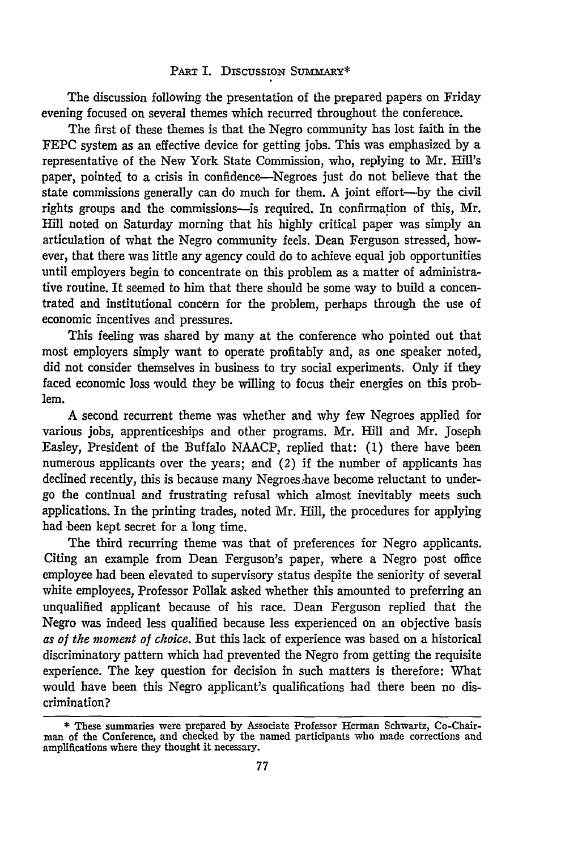### PART I. DISCUSSION SUMMARY\*

The discussion following the presentation of the prepared papers on Friday evening focused on several themes which recurred throughout the conference.

The first of these themes is that the Negro community has lost faith in the FEPC system as an effective device for getting jobs. This was emphasized by a representative of the New York State Commission, who, replying to Mr. Hill's paper, pointed to a crisis in confidence-Negroes just do not believe that the state commissions generally can do much for them. A joint effort-by the civil rights groups and the commissions-is required. In confirmation of this, Mr. Hill noted on Saturday morning that his highly critical paper was simply an articulation of what the Negro community feels. Dean Ferguson stressed, however, that there was little any agency could do to achieve equal job opportunities until employers begin to concentrate on this problem as a matter of administrative routine. It seemed to him that there should be some way to build a concentrated and institutional concern for the problem, perhaps through the use of economic incentives and pressures.

This feeling was shared by many at the conference who pointed out that most employers simply want to operate profitably and, as one speaker noted, did not consider themselves in business to try social experiments. Only if they faced economic loss would they be willing to focus their energies on this problem.

A second recurrent theme was whether and why few Negroes applied for various jobs, apprenticeships and other programs. Mr. Hill and Mr. Joseph Easley, President of the Buffalo NAACP, replied that: (1) there have been numerous applicants over the years; and (2) if the number of applicants has declined recently, this is because many Negroes have become reluctant to undergo the continual and frustrating refusal which almost inevitably meets such applications. In the printing trades, noted Mr. Hill, the procedures for applying had been kept secret for a long time.

The third recurring theme was that of preferences for Negro applicants. Citing an example from Dean Ferguson's paper, where a Negro post office employee had been elevated to supervisory status despite the seniority of several white employees, Professor Pollak asked whether this amounted to preferring an unqualified applicant because of his race. Dean Ferguson replied that the Negro was indeed less qualified because less experienced on an objective basis *as of the moment of choice.* But this lack of experience was based on a historical discriminatory pattern which had prevented the Negro from getting the requisite experience. The key question for decision in such matters is therefore: What would have been this Negro applicant's qualifications had there been no discrimination?

<sup>\*</sup> These summaries were prepared **by** Associate Professor Herman Schwartz, Co-Chair man of the Conference, and checked by the named participants who made corrections and amplifications where they thought it necessary.